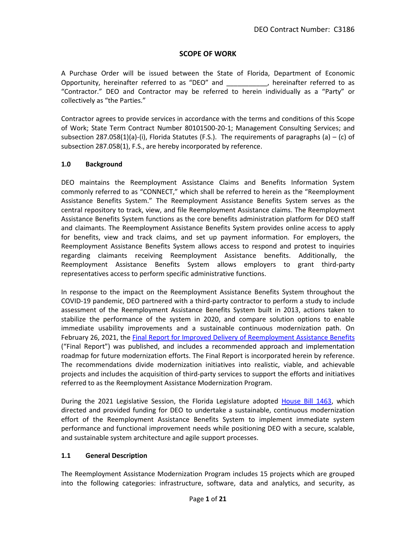# **SCOPE OF WORK**

A Purchase Order will be issued between the State of Florida, Department of Economic Opportunity, hereinafter referred to as "DEO" and  $\qquad \qquad$ , hereinafter referred to as "Contractor." DEO and Contractor may be referred to herein individually as a "Party" or collectively as "the Parties."

Contractor agrees to provide services in accordance with the terms and conditions of this Scope of Work; State Term Contract Number 80101500-20-1; Management Consulting Services; and subsection 287.058(1)(a)-(i), Florida Statutes (F.S.). The requirements of paragraphs (a)  $-$  (c) of subsection 287.058(1), F.S., are hereby incorporated by reference.

### **1.0 Background**

DEO maintains the Reemployment Assistance Claims and Benefits Information System commonly referred to as "CONNECT," which shall be referred to herein as the "Reemployment Assistance Benefits System." The Reemployment Assistance Benefits System serves as the central repository to track, view, and file Reemployment Assistance claims. The Reemployment Assistance Benefits System functions as the core benefits administration platform for DEO staff and claimants. The Reemployment Assistance Benefits System provides online access to apply for benefits, view and track claims, and set up payment information. For employers, the Reemployment Assistance Benefits System allows access to respond and protest to inquiries regarding claimants receiving Reemployment Assistance benefits. Additionally, the Reemployment Assistance Benefits System allows employers to grant third-party representatives access to perform specific administrative functions.

In response to the impact on the Reemployment Assistance Benefits System throughout the COVID-19 pandemic, DEO partnered with a third-party contractor to perform a study to include assessment of the Reemployment Assistance Benefits System built in 2013, actions taken to stabilize the performance of the system in 2020, and compare solution options to enable immediate usability improvements and a sustainable continuous modernization path. On February 26, 2021, the [Final Report for Improved Delivery of Reemployment Assistance Benefits](http://floridajobs.org/docs/default-source/communicationsfiles/2021-improved-delivery-of-reemployment-assistance-benefits-final-report-and-cost-benefit-analysis.pdf) ("Final Report") was published, and includes a recommended approach and implementation roadmap for future modernization efforts. The Final Report is incorporated herein by reference. The recommendations divide modernization initiatives into realistic, viable, and achievable projects and includes the acquisition of third-party services to support the efforts and initiatives referred to as the Reemployment Assistance Modernization Program.

During the 2021 Legislative Session, the Florida Legislature adopted [House Bill 1463,](http://laws.flrules.org/2021/25) which directed and provided funding for DEO to undertake a sustainable, continuous modernization effort of the Reemployment Assistance Benefits System to implement immediate system performance and functional improvement needs while positioning DEO with a secure, scalable, and sustainable system architecture and agile support processes.

#### **1.1 General Description**

The Reemployment Assistance Modernization Program includes 15 projects which are grouped into the following categories: infrastructure, software, data and analytics, and security, as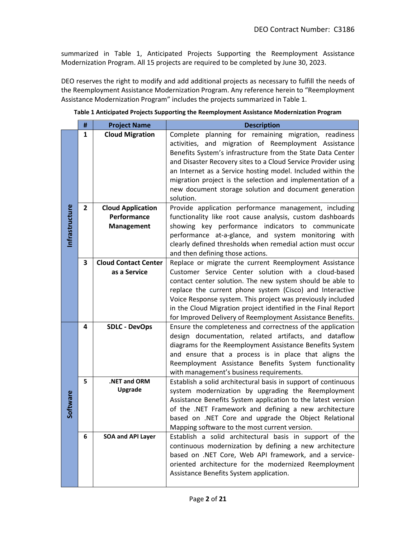summarized in Table 1, Anticipated Projects Supporting the Reemployment Assistance Modernization Program. All 15 projects are required to be completed by June 30, 2023.

DEO reserves the right to modify and add additional projects as necessary to fulfill the needs of the Reemployment Assistance Modernization Program. Any reference herein to "Reemployment Assistance Modernization Program" includes the projects summarized in Table 1.

|                | #              | <b>Project Name</b>                         | <b>Description</b>                                                                                            |  |
|----------------|----------------|---------------------------------------------|---------------------------------------------------------------------------------------------------------------|--|
|                | $\mathbf{1}$   | <b>Cloud Migration</b>                      | planning for remaining migration, readiness<br>Complete                                                       |  |
|                |                |                                             | activities, and migration of Reemployment Assistance                                                          |  |
|                |                |                                             | Benefits System's infrastructure from the State Data Center                                                   |  |
|                |                |                                             | and Disaster Recovery sites to a Cloud Service Provider using                                                 |  |
|                |                |                                             | an Internet as a Service hosting model. Included within the                                                   |  |
|                |                |                                             | migration project is the selection and implementation of a                                                    |  |
|                |                |                                             | new document storage solution and document generation                                                         |  |
|                |                |                                             | solution.                                                                                                     |  |
| Infrastructure | $\overline{2}$ | <b>Cloud Application</b>                    | Provide application performance management, including                                                         |  |
|                |                | Performance                                 | functionality like root cause analysis, custom dashboards                                                     |  |
|                |                | <b>Management</b>                           | showing key performance indicators to communicate                                                             |  |
|                |                |                                             | performance at-a-glance, and system monitoring with                                                           |  |
|                |                |                                             | clearly defined thresholds when remedial action must occur                                                    |  |
|                |                |                                             | and then defining those actions.                                                                              |  |
|                | 3              | <b>Cloud Contact Center</b><br>as a Service | Replace or migrate the current Reemployment Assistance<br>Customer Service Center solution with a cloud-based |  |
|                |                |                                             | contact center solution. The new system should be able to                                                     |  |
|                |                |                                             | replace the current phone system (Cisco) and Interactive                                                      |  |
|                |                |                                             | Voice Response system. This project was previously included                                                   |  |
|                |                |                                             | in the Cloud Migration project identified in the Final Report                                                 |  |
|                |                |                                             | for Improved Delivery of Reemployment Assistance Benefits.                                                    |  |
|                | 4              | <b>SDLC - DevOps</b>                        | Ensure the completeness and correctness of the application                                                    |  |
|                |                |                                             | design documentation, related artifacts, and dataflow                                                         |  |
|                |                |                                             | diagrams for the Reemployment Assistance Benefits System                                                      |  |
|                |                |                                             | and ensure that a process is in place that aligns the                                                         |  |
|                |                |                                             | Reemployment Assistance Benefits System functionality                                                         |  |
|                |                |                                             | with management's business requirements.                                                                      |  |
|                | 5              | .NET and ORM                                | Establish a solid architectural basis in support of continuous                                                |  |
|                |                | Upgrade                                     | system modernization by upgrading the Reemployment                                                            |  |
| Software       |                |                                             | Assistance Benefits System application to the latest version                                                  |  |
|                |                |                                             | of the .NET Framework and defining a new architecture                                                         |  |
|                |                |                                             | based on .NET Core and upgrade the Object Relational                                                          |  |
|                |                |                                             | Mapping software to the most current version.                                                                 |  |
|                | 6              | <b>SOA and API Layer</b>                    | Establish a solid architectural basis in support of the                                                       |  |
|                |                |                                             | continuous modernization by defining a new architecture                                                       |  |
|                |                |                                             | based on .NET Core, Web API framework, and a service-                                                         |  |
|                |                |                                             | oriented architecture for the modernized Reemployment                                                         |  |
|                |                |                                             | Assistance Benefits System application.                                                                       |  |
|                |                |                                             |                                                                                                               |  |

**Table 1 Anticipated Projects Supporting the Reemployment Assistance Modernization Program**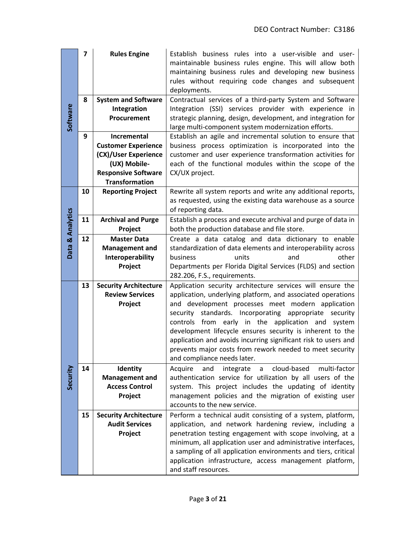|                  | $\overline{\mathbf{z}}$ | <b>Rules Engine</b>          | Establish business rules into a user-visible and user-<br>maintainable business rules engine. This will allow both<br>maintaining business rules and developing new business<br>rules without requiring code changes and subsequent<br>deployments. |
|------------------|-------------------------|------------------------------|-----------------------------------------------------------------------------------------------------------------------------------------------------------------------------------------------------------------------------------------------------|
|                  | 8                       | <b>System and Software</b>   | Contractual services of a third-party System and Software                                                                                                                                                                                           |
| Software         |                         | Integration                  | Integration (SSI) services provider with experience in                                                                                                                                                                                              |
|                  |                         | Procurement                  | strategic planning, design, development, and integration for                                                                                                                                                                                        |
|                  |                         |                              | large multi-component system modernization efforts.                                                                                                                                                                                                 |
|                  | 9                       | Incremental                  | Establish an agile and incremental solution to ensure that                                                                                                                                                                                          |
|                  |                         | <b>Customer Experience</b>   | business process optimization is incorporated into the                                                                                                                                                                                              |
|                  |                         | (CX)/User Experience         | customer and user experience transformation activities for                                                                                                                                                                                          |
|                  |                         | (UX) Mobile-                 | each of the functional modules within the scope of the                                                                                                                                                                                              |
|                  |                         | <b>Responsive Software</b>   | CX/UX project.                                                                                                                                                                                                                                      |
|                  |                         | <b>Transformation</b>        |                                                                                                                                                                                                                                                     |
|                  | 10                      | <b>Reporting Project</b>     | Rewrite all system reports and write any additional reports,<br>as requested, using the existing data warehouse as a source                                                                                                                         |
|                  |                         |                              | of reporting data.                                                                                                                                                                                                                                  |
|                  | 11                      | <b>Archival and Purge</b>    | Establish a process and execute archival and purge of data in                                                                                                                                                                                       |
| Data & Analytics |                         | Project                      | both the production database and file store.                                                                                                                                                                                                        |
|                  | 12                      | <b>Master Data</b>           | Create a data catalog and data dictionary to enable                                                                                                                                                                                                 |
|                  |                         | <b>Management and</b>        | standardization of data elements and interoperability across                                                                                                                                                                                        |
|                  |                         | Interoperability             | other<br>business<br>units<br>and                                                                                                                                                                                                                   |
|                  |                         | Project                      | Departments per Florida Digital Services (FLDS) and section<br>282.206, F.S., requirements.                                                                                                                                                         |
|                  | 13                      | <b>Security Architecture</b> | Application security architecture services will ensure the                                                                                                                                                                                          |
|                  |                         | <b>Review Services</b>       | application, underlying platform, and associated operations                                                                                                                                                                                         |
|                  |                         | Project                      | and development processes meet modern application                                                                                                                                                                                                   |
|                  |                         |                              | security standards. Incorporating appropriate security                                                                                                                                                                                              |
|                  |                         |                              | controls from early in the application and<br>system                                                                                                                                                                                                |
|                  |                         |                              | development lifecycle ensures security is inherent to the                                                                                                                                                                                           |
|                  |                         |                              | application and avoids incurring significant risk to users and                                                                                                                                                                                      |
|                  |                         |                              | prevents major costs from rework needed to meet security                                                                                                                                                                                            |
|                  |                         |                              | and compliance needs later.                                                                                                                                                                                                                         |
| Security         | 14                      | Identity                     | Acquire<br>and<br>cloud-based<br>multi-factor<br>integrate<br>$\mathsf{a}$                                                                                                                                                                          |
|                  |                         | <b>Management and</b>        | authentication service for utilization by all users of the                                                                                                                                                                                          |
|                  |                         | <b>Access Control</b>        | system. This project includes the updating of identity                                                                                                                                                                                              |
|                  |                         | Project                      | management policies and the migration of existing user<br>accounts to the new service.                                                                                                                                                              |
|                  | 15                      | <b>Security Architecture</b> | Perform a technical audit consisting of a system, platform,                                                                                                                                                                                         |
|                  |                         | <b>Audit Services</b>        | application, and network hardening review, including a                                                                                                                                                                                              |
|                  |                         | Project                      | penetration testing engagement with scope involving, at a                                                                                                                                                                                           |
|                  |                         |                              | minimum, all application user and administrative interfaces,                                                                                                                                                                                        |
|                  |                         |                              | a sampling of all application environments and tiers, critical                                                                                                                                                                                      |
|                  |                         |                              |                                                                                                                                                                                                                                                     |
|                  |                         |                              | application infrastructure, access management platform,<br>and staff resources.                                                                                                                                                                     |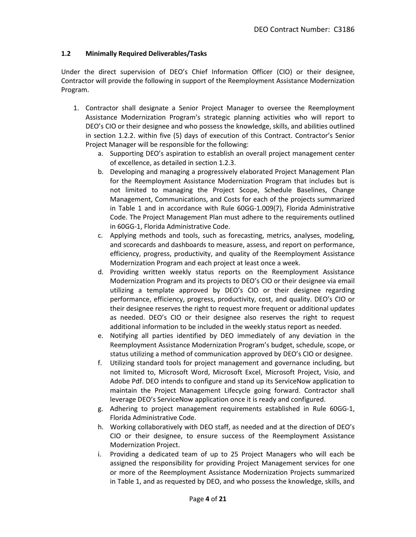### **1.2 Minimally Required Deliverables/Tasks**

Under the direct supervision of DEO's Chief Information Officer (CIO) or their designee, Contractor will provide the following in support of the Reemployment Assistance Modernization Program.

- 1. Contractor shall designate a Senior Project Manager to oversee the Reemployment Assistance Modernization Program's strategic planning activities who will report to DEO's CIO or their designee and who possess the knowledge, skills, and abilities outlined in section 1.2.2. within five (5) days of execution of this Contract. Contractor's Senior Project Manager will be responsible for the following:
	- a. Supporting DEO's aspiration to establish an overall project management center of excellence, as detailed in section 1.2.3.
	- b. Developing and managing a progressively elaborated Project Management Plan for the Reemployment Assistance Modernization Program that includes but is not limited to managing the Project Scope, Schedule Baselines, Change Management, Communications, and Costs for each of the projects summarized in Table 1 and in accordance with Rule 60GG-1.009(7), Florida Administrative Code. The Project Management Plan must adhere to the requirements outlined in 60GG-1, Florida Administrative Code.
	- c. Applying methods and tools, such as forecasting, metrics, analyses, modeling, and scorecards and dashboards to measure, assess, and report on performance, efficiency, progress, productivity, and quality of the Reemployment Assistance Modernization Program and each project at least once a week.
	- d. Providing written weekly status reports on the Reemployment Assistance Modernization Program and its projects to DEO's CIO or their designee via email utilizing a template approved by DEO's CIO or their designee regarding performance, efficiency, progress, productivity, cost, and quality. DEO's CIO or their designee reserves the right to request more frequent or additional updates as needed. DEO's CIO or their designee also reserves the right to request additional information to be included in the weekly status report as needed.
	- e. Notifying all parties identified by DEO immediately of any deviation in the Reemployment Assistance Modernization Program's budget, schedule, scope, or status utilizing a method of communication approved by DEO's CIO or designee.
	- f. Utilizing standard tools for project management and governance including, but not limited to, Microsoft Word, Microsoft Excel, Microsoft Project, Visio, and Adobe Pdf. DEO intends to configure and stand up its ServiceNow application to maintain the Project Management Lifecycle going forward. Contractor shall leverage DEO's ServiceNow application once it is ready and configured.
	- g. Adhering to project management requirements established in Rule 60GG-1, Florida Administrative Code.
	- h. Working collaboratively with DEO staff, as needed and at the direction of DEO's CIO or their designee, to ensure success of the Reemployment Assistance Modernization Project.
	- i. Providing a dedicated team of up to 25 Project Managers who will each be assigned the responsibility for providing Project Management services for one or more of the Reemployment Assistance Modernization Projects summarized in Table 1, and as requested by DEO, and who possess the knowledge, skills, and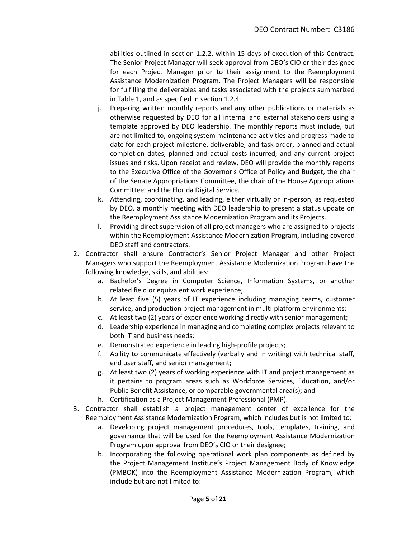abilities outlined in section 1.2.2. within 15 days of execution of this Contract. The Senior Project Manager will seek approval from DEO's CIO or their designee for each Project Manager prior to their assignment to the Reemployment Assistance Modernization Program. The Project Managers will be responsible for fulfilling the deliverables and tasks associated with the projects summarized in Table 1, and as specified in section 1.2.4.

- j. Preparing written monthly reports and any other publications or materials as otherwise requested by DEO for all internal and external stakeholders using a template approved by DEO leadership. The monthly reports must include, but are not limited to, ongoing system maintenance activities and progress made to date for each project milestone, deliverable, and task order, planned and actual completion dates, planned and actual costs incurred, and any current project issues and risks. Upon receipt and review, DEO will provide the monthly reports to the Executive Office of the Governor's Office of Policy and Budget, the chair of the Senate Appropriations Committee, the chair of the House Appropriations Committee, and the Florida Digital Service.
- k. Attending, coordinating, and leading, either virtually or in-person, as requested by DEO, a monthly meeting with DEO leadership to present a status update on the Reemployment Assistance Modernization Program and its Projects.
- l. Providing direct supervision of all project managers who are assigned to projects within the Reemployment Assistance Modernization Program, including covered DEO staff and contractors.
- 2. Contractor shall ensure Contractor's Senior Project Manager and other Project Managers who support the Reemployment Assistance Modernization Program have the following knowledge, skills, and abilities:
	- a. Bachelor's Degree in Computer Science, Information Systems, or another related field or equivalent work experience;
	- b. At least five (5) years of IT experience including managing teams, customer service, and production project management in multi-platform environments;
	- c. At least two (2) years of experience working directly with senior management;
	- d. Leadership experience in managing and completing complex projects relevant to both IT and business needs;
	- e. Demonstrated experience in leading high-profile projects;
	- f. Ability to communicate effectively (verbally and in writing) with technical staff, end user staff, and senior management;
	- g. At least two (2) years of working experience with IT and project management as it pertains to program areas such as Workforce Services, Education, and/or Public Benefit Assistance, or comparable governmental area(s); and
	- h. Certification as a Project Management Professional (PMP).
- 3. Contractor shall establish a project management center of excellence for the Reemployment Assistance Modernization Program, which includes but is not limited to:
	- a. Developing project management procedures, tools, templates, training, and governance that will be used for the Reemployment Assistance Modernization Program upon approval from DEO's CIO or their designee;
	- b. Incorporating the following operational work plan components as defined by the Project Management Institute's Project Management Body of Knowledge (PMBOK) into the Reemployment Assistance Modernization Program, which include but are not limited to: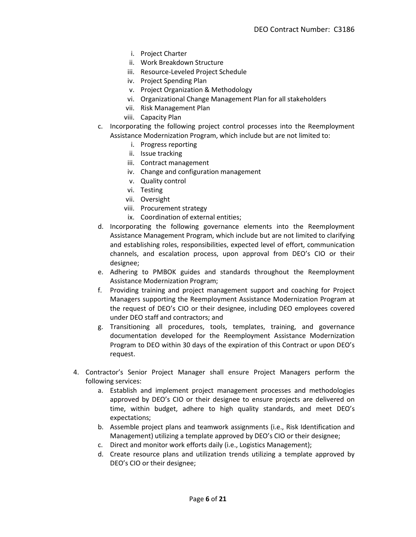- i. Project Charter
- ii. Work Breakdown Structure
- iii. Resource-Leveled Project Schedule
- iv. Project Spending Plan
- v. Project Organization & Methodology
- vi. Organizational Change Management Plan for all stakeholders
- vii. Risk Management Plan
- viii. Capacity Plan
- c. Incorporating the following project control processes into the Reemployment Assistance Modernization Program, which include but are not limited to:
	- i. Progress reporting
	- ii. Issue tracking
	- iii. Contract management
	- iv. Change and configuration management
	- v. Quality control
	- vi. Testing
	- vii. Oversight
	- viii. Procurement strategy
	- ix. Coordination of external entities;
- d. Incorporating the following governance elements into the Reemployment Assistance Management Program, which include but are not limited to clarifying and establishing roles, responsibilities, expected level of effort, communication channels, and escalation process, upon approval from DEO's CIO or their designee;
- e. Adhering to PMBOK guides and standards throughout the Reemployment Assistance Modernization Program;
- f. Providing training and project management support and coaching for Project Managers supporting the Reemployment Assistance Modernization Program at the request of DEO's CIO or their designee, including DEO employees covered under DEO staff and contractors; and
- g. Transitioning all procedures, tools, templates, training, and governance documentation developed for the Reemployment Assistance Modernization Program to DEO within 30 days of the expiration of this Contract or upon DEO's request.
- 4. Contractor's Senior Project Manager shall ensure Project Managers perform the following services:
	- a. Establish and implement project management processes and methodologies approved by DEO's CIO or their designee to ensure projects are delivered on time, within budget, adhere to high quality standards, and meet DEO's expectations;
	- b. Assemble project plans and teamwork assignments (i.e., Risk Identification and Management) utilizing a template approved by DEO's CIO or their designee;
	- c. Direct and monitor work efforts daily (i.e., Logistics Management);
	- d. Create resource plans and utilization trends utilizing a template approved by DEO's CIO or their designee;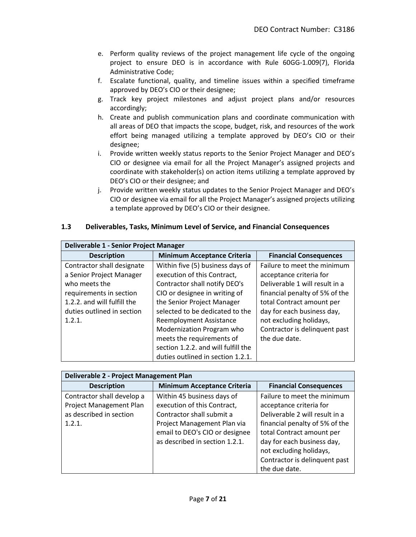- e. Perform quality reviews of the project management life cycle of the ongoing project to ensure DEO is in accordance with Rule 60GG-1.009(7), Florida Administrative Code;
- f. Escalate functional, quality, and timeline issues within a specified timeframe approved by DEO's CIO or their designee;
- g. Track key project milestones and adjust project plans and/or resources accordingly;
- h. Create and publish communication plans and coordinate communication with all areas of DEO that impacts the scope, budget, risk, and resources of the work effort being managed utilizing a template approved by DEO's CIO or their designee;
- i. Provide written weekly status reports to the Senior Project Manager and DEO's CIO or designee via email for all the Project Manager's assigned projects and coordinate with stakeholder(s) on action items utilizing a template approved by DEO's CIO or their designee; and
- j. Provide written weekly status updates to the Senior Project Manager and DEO's CIO or designee via email for all the Project Manager's assigned projects utilizing a template approved by DEO's CIO or their designee.

| 1.3 | Deliverables, Tasks, Minimum Level of Service, and Financial Consequences |
|-----|---------------------------------------------------------------------------|
|     |                                                                           |

| Deliverable 1 - Senior Project Manager |                                     |                                |  |
|----------------------------------------|-------------------------------------|--------------------------------|--|
| <b>Description</b>                     | <b>Minimum Acceptance Criteria</b>  | <b>Financial Consequences</b>  |  |
| Contractor shall designate             | Within five (5) business days of    | Failure to meet the minimum    |  |
| a Senior Project Manager               | execution of this Contract,         | acceptance criteria for        |  |
| who meets the                          | Contractor shall notify DEO's       | Deliverable 1 will result in a |  |
| requirements in section                | CIO or designee in writing of       | financial penalty of 5% of the |  |
| 1.2.2. and will fulfill the            | the Senior Project Manager          | total Contract amount per      |  |
| duties outlined in section             | selected to be dedicated to the     | day for each business day,     |  |
| 1.2.1.                                 | Reemployment Assistance             | not excluding holidays,        |  |
|                                        | Modernization Program who           | Contractor is delinquent past  |  |
|                                        | meets the requirements of           | the due date.                  |  |
|                                        | section 1.2.2. and will fulfill the |                                |  |
|                                        | duties outlined in section 1.2.1.   |                                |  |

| Deliverable 2 - Project Management Plan                                                    |                                                                                                                                                                                           |                                                                                                                                                                                                                                                                    |  |
|--------------------------------------------------------------------------------------------|-------------------------------------------------------------------------------------------------------------------------------------------------------------------------------------------|--------------------------------------------------------------------------------------------------------------------------------------------------------------------------------------------------------------------------------------------------------------------|--|
| <b>Description</b>                                                                         | <b>Minimum Acceptance Criteria</b>                                                                                                                                                        | <b>Financial Consequences</b>                                                                                                                                                                                                                                      |  |
| Contractor shall develop a<br>Project Management Plan<br>as described in section<br>1.2.1. | Within 45 business days of<br>execution of this Contract,<br>Contractor shall submit a<br>Project Management Plan via<br>email to DEO's CIO or designee<br>as described in section 1.2.1. | Failure to meet the minimum<br>acceptance criteria for<br>Deliverable 2 will result in a<br>financial penalty of 5% of the<br>total Contract amount per<br>day for each business day,<br>not excluding holidays,<br>Contractor is delinquent past<br>the due date. |  |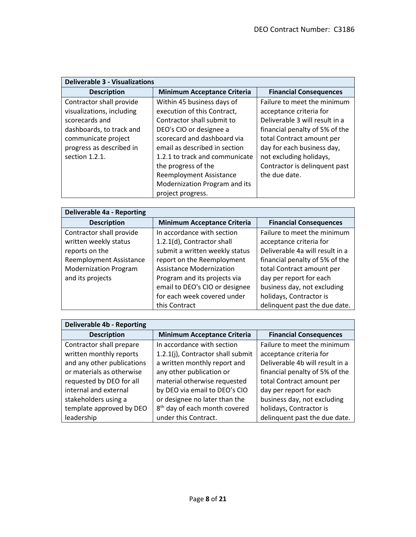| <b>Deliverable 3 - Visualizations</b> |                                    |                                |  |
|---------------------------------------|------------------------------------|--------------------------------|--|
| <b>Description</b>                    | <b>Minimum Acceptance Criteria</b> | <b>Financial Consequences</b>  |  |
| Contractor shall provide              | Within 45 business days of         | Failure to meet the minimum    |  |
| visualizations, including             | execution of this Contract,        | acceptance criteria for        |  |
| scorecards and                        | Contractor shall submit to         | Deliverable 3 will result in a |  |
| dashboards, to track and              | DEO's CIO or designee a            | financial penalty of 5% of the |  |
| communicate project                   | scorecard and dashboard via        | total Contract amount per      |  |
| progress as described in              | email as described in section      | day for each business day,     |  |
| section 1.2.1.                        | 1.2.1 to track and communicate     | not excluding holidays,        |  |
|                                       | the progress of the                | Contractor is delinquent past  |  |
|                                       | <b>Reemployment Assistance</b>     | the due date.                  |  |
|                                       | Modernization Program and its      |                                |  |
|                                       | project progress.                  |                                |  |

| <b>Deliverable 4a - Reporting</b> |                                    |                                 |
|-----------------------------------|------------------------------------|---------------------------------|
| <b>Description</b>                | <b>Minimum Acceptance Criteria</b> | <b>Financial Consequences</b>   |
| Contractor shall provide          | In accordance with section         | Failure to meet the minimum     |
| written weekly status             | 1.2.1(d), Contractor shall         | acceptance criteria for         |
| reports on the                    | submit a written weekly status     | Deliverable 4a will result in a |
| Reemployment Assistance           | report on the Reemployment         | financial penalty of 5% of the  |
| <b>Modernization Program</b>      | <b>Assistance Modernization</b>    | total Contract amount per       |
| and its projects                  | Program and its projects via       | day per report for each         |
|                                   | email to DEO's CIO or designee     | business day, not excluding     |
|                                   | for each week covered under        | holidays, Contractor is         |
|                                   | this Contract                      | delinquent past the due date.   |

| <b>Deliverable 4b - Reporting</b> |                                           |                                 |  |
|-----------------------------------|-------------------------------------------|---------------------------------|--|
| <b>Description</b>                | <b>Minimum Acceptance Criteria</b>        | <b>Financial Consequences</b>   |  |
| Contractor shall prepare          | In accordance with section                | Failure to meet the minimum     |  |
| written monthly reports           | 1.2.1(j), Contractor shall submit         | acceptance criteria for         |  |
| and any other publications        | a written monthly report and              | Deliverable 4b will result in a |  |
| or materials as otherwise         | any other publication or                  | financial penalty of 5% of the  |  |
| requested by DEO for all          | material otherwise requested              | total Contract amount per       |  |
| internal and external             | by DEO via email to DEO's CIO             | day per report for each         |  |
| stakeholders using a              | or designee no later than the             | business day, not excluding     |  |
| template approved by DEO          | 8 <sup>th</sup> day of each month covered | holidays, Contractor is         |  |
| leadership                        | under this Contract.                      | delinguent past the due date.   |  |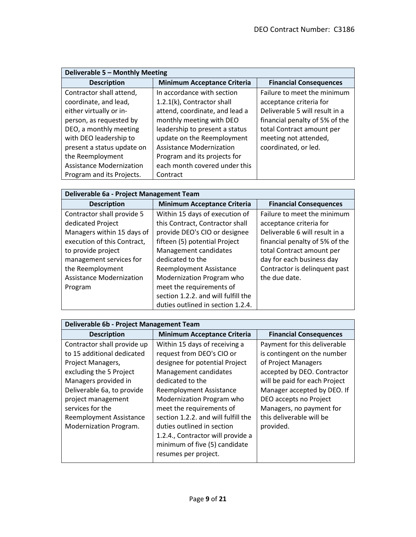| Deliverable 5 - Monthly Meeting |                                    |                                |  |
|---------------------------------|------------------------------------|--------------------------------|--|
| <b>Description</b>              | <b>Minimum Acceptance Criteria</b> | <b>Financial Consequences</b>  |  |
| Contractor shall attend,        | In accordance with section         | Failure to meet the minimum    |  |
| coordinate, and lead,           | 1.2.1(k), Contractor shall         | acceptance criteria for        |  |
| either virtually or in-         | attend, coordinate, and lead a     | Deliverable 5 will result in a |  |
| person, as requested by         | monthly meeting with DEO           | financial penalty of 5% of the |  |
| DEO, a monthly meeting          | leadership to present a status     | total Contract amount per      |  |
| with DEO leadership to          | update on the Reemployment         | meeting not attended,          |  |
| present a status update on      | <b>Assistance Modernization</b>    | coordinated, or led.           |  |
| the Reemployment                | Program and its projects for       |                                |  |
| <b>Assistance Modernization</b> | each month covered under this      |                                |  |
| Program and its Projects.       | Contract                           |                                |  |

| Deliverable 6a - Project Management Team |
|------------------------------------------|
|                                          |

| <b>Description</b>              | <b>Minimum Acceptance Criteria</b>  | <b>Financial Consequences</b>  |
|---------------------------------|-------------------------------------|--------------------------------|
| Contractor shall provide 5      | Within 15 days of execution of      | Failure to meet the minimum    |
| dedicated Project               | this Contract, Contractor shall     | acceptance criteria for        |
| Managers within 15 days of      | provide DEO's CIO or designee       | Deliverable 6 will result in a |
| execution of this Contract,     | fifteen (5) potential Project       | financial penalty of 5% of the |
| to provide project              | Management candidates               | total Contract amount per      |
| management services for         | dedicated to the                    | day for each business day      |
| the Reemployment                | Reemployment Assistance             | Contractor is delinquent past  |
| <b>Assistance Modernization</b> | Modernization Program who           | the due date.                  |
| Program                         | meet the requirements of            |                                |
|                                 | section 1.2.2. and will fulfill the |                                |
|                                 | duties outlined in section 1.2.4.   |                                |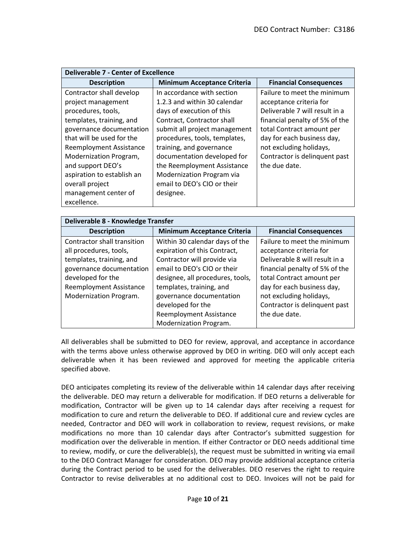| <b>Deliverable 7 - Center of Excellence</b> |                                    |                                |  |  |  |  |
|---------------------------------------------|------------------------------------|--------------------------------|--|--|--|--|
| <b>Description</b>                          | <b>Minimum Acceptance Criteria</b> | <b>Financial Consequences</b>  |  |  |  |  |
| Contractor shall develop                    | In accordance with section         | Failure to meet the minimum    |  |  |  |  |
| project management                          | 1.2.3 and within 30 calendar       | acceptance criteria for        |  |  |  |  |
| procedures, tools,                          | days of execution of this          | Deliverable 7 will result in a |  |  |  |  |
| templates, training, and                    | Contract, Contractor shall         | financial penalty of 5% of the |  |  |  |  |
| governance documentation                    | submit all project management      | total Contract amount per      |  |  |  |  |
| that will be used for the                   | procedures, tools, templates,      | day for each business day,     |  |  |  |  |
| Reemployment Assistance                     | training, and governance           | not excluding holidays,        |  |  |  |  |
| Modernization Program,                      | documentation developed for        | Contractor is delinquent past  |  |  |  |  |
| and support DEO's                           | the Reemployment Assistance        | the due date.                  |  |  |  |  |
| aspiration to establish an                  | Modernization Program via          |                                |  |  |  |  |
| overall project                             | email to DEO's CIO or their        |                                |  |  |  |  |
| management center of                        | designee.                          |                                |  |  |  |  |
| excellence.                                 |                                    |                                |  |  |  |  |

| Deliverable 8 - Knowledge Transfer |                                    |                                |  |  |  |
|------------------------------------|------------------------------------|--------------------------------|--|--|--|
| <b>Description</b>                 | <b>Minimum Acceptance Criteria</b> | <b>Financial Consequences</b>  |  |  |  |
| Contractor shall transition        | Within 30 calendar days of the     | Failure to meet the minimum    |  |  |  |
| all procedures, tools,             | expiration of this Contract,       | acceptance criteria for        |  |  |  |
| templates, training, and           | Contractor will provide via        | Deliverable 8 will result in a |  |  |  |
| governance documentation           | email to DEO's CIO or their        | financial penalty of 5% of the |  |  |  |
| developed for the                  | designee, all procedures, tools,   | total Contract amount per      |  |  |  |
| Reemployment Assistance            | templates, training, and           | day for each business day,     |  |  |  |
| Modernization Program.             | governance documentation           | not excluding holidays,        |  |  |  |
|                                    | developed for the                  | Contractor is delinquent past  |  |  |  |
|                                    | <b>Reemployment Assistance</b>     | the due date.                  |  |  |  |
|                                    | Modernization Program.             |                                |  |  |  |

All deliverables shall be submitted to DEO for review, approval, and acceptance in accordance with the terms above unless otherwise approved by DEO in writing. DEO will only accept each deliverable when it has been reviewed and approved for meeting the applicable criteria specified above.

DEO anticipates completing its review of the deliverable within 14 calendar days after receiving the deliverable. DEO may return a deliverable for modification. If DEO returns a deliverable for modification, Contractor will be given up to 14 calendar days after receiving a request for modification to cure and return the deliverable to DEO. If additional cure and review cycles are needed, Contractor and DEO will work in collaboration to review, request revisions, or make modifications no more than 10 calendar days after Contractor's submitted suggestion for modification over the deliverable in mention. If either Contractor or DEO needs additional time to review, modify, or cure the deliverable(s), the request must be submitted in writing via email to the DEO Contract Manager for consideration. DEO may provide additional acceptance criteria during the Contract period to be used for the deliverables. DEO reserves the right to require Contractor to revise deliverables at no additional cost to DEO. Invoices will not be paid for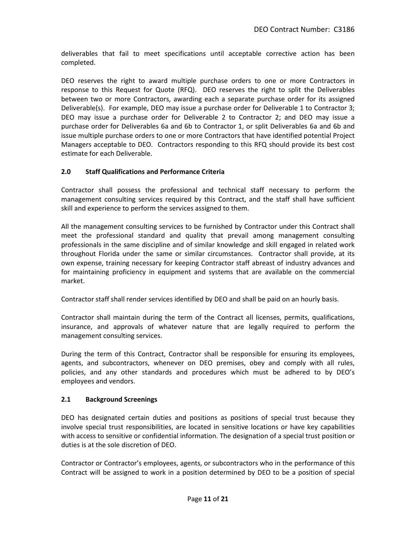deliverables that fail to meet specifications until acceptable corrective action has been completed.

DEO reserves the right to award multiple purchase orders to one or more Contractors in response to this Request for Quote (RFQ). DEO reserves the right to split the Deliverables between two or more Contractors, awarding each a separate purchase order for its assigned Deliverable(s). For example, DEO may issue a purchase order for Deliverable 1 to Contractor 3; DEO may issue a purchase order for Deliverable 2 to Contractor 2; and DEO may issue a purchase order for Deliverables 6a and 6b to Contractor 1, or split Deliverables 6a and 6b and issue multiple purchase orders to one or more Contractors that have identified potential Project Managers acceptable to DEO. Contractors responding to this RFQ should provide its best cost estimate for each Deliverable.

## **2.0 Staff Qualifications and Performance Criteria**

Contractor shall possess the professional and technical staff necessary to perform the management consulting services required by this Contract, and the staff shall have sufficient skill and experience to perform the services assigned to them.

All the management consulting services to be furnished by Contractor under this Contract shall meet the professional standard and quality that prevail among management consulting professionals in the same discipline and of similar knowledge and skill engaged in related work throughout Florida under the same or similar circumstances. Contractor shall provide, at its own expense, training necessary for keeping Contractor staff abreast of industry advances and for maintaining proficiency in equipment and systems that are available on the commercial market.

Contractor staff shall render services identified by DEO and shall be paid on an hourly basis.

Contractor shall maintain during the term of the Contract all licenses, permits, qualifications, insurance, and approvals of whatever nature that are legally required to perform the management consulting services.

During the term of this Contract, Contractor shall be responsible for ensuring its employees, agents, and subcontractors, whenever on DEO premises, obey and comply with all rules, policies, and any other standards and procedures which must be adhered to by DEO's employees and vendors.

#### **2.1 Background Screenings**

DEO has designated certain duties and positions as positions of special trust because they involve special trust responsibilities, are located in sensitive locations or have key capabilities with access to sensitive or confidential information. The designation of a special trust position or duties is at the sole discretion of DEO.

Contractor or Contractor's employees, agents, or subcontractors who in the performance of this Contract will be assigned to work in a position determined by DEO to be a position of special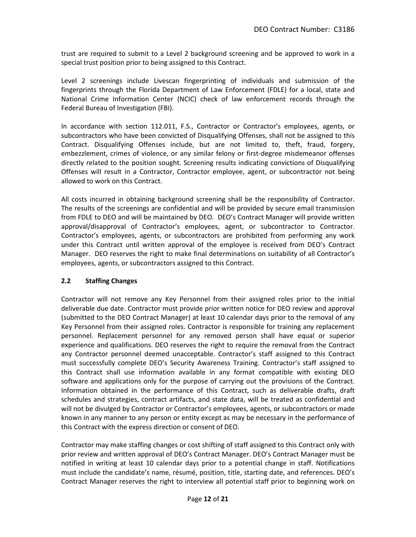trust are required to submit to a Level 2 background screening and be approved to work in a special trust position prior to being assigned to this Contract.

Level 2 screenings include Livescan fingerprinting of individuals and submission of the fingerprints through the Florida Department of Law Enforcement (FDLE) for a local, state and National Crime Information Center (NCIC) check of law enforcement records through the Federal Bureau of Investigation (FBI).

In accordance with section 112.011, F.S., Contractor or Contractor's employees, agents, or subcontractors who have been convicted of Disqualifying Offenses, shall not be assigned to this Contract. Disqualifying Offenses include, but are not limited to, theft, fraud, forgery, embezzlement, crimes of violence, or any similar felony or first-degree misdemeanor offenses directly related to the position sought. Screening results indicating convictions of Disqualifying Offenses will result in a Contractor, Contractor employee, agent, or subcontractor not being allowed to work on this Contract.

All costs incurred in obtaining background screening shall be the responsibility of Contractor. The results of the screenings are confidential and will be provided by secure email transmission from FDLE to DEO and will be maintained by DEO. DEO's Contract Manager will provide written approval/disapproval of Contractor's employees, agent, or subcontractor to Contractor. Contractor's employees, agents, or subcontractors are prohibited from performing any work under this Contract until written approval of the employee is received from DEO's Contract Manager. DEO reserves the right to make final determinations on suitability of all Contractor's employees, agents, or subcontractors assigned to this Contract.

## **2.2 Staffing Changes**

Contractor will not remove any Key Personnel from their assigned roles prior to the initial deliverable due date. Contractor must provide prior written notice for DEO review and approval (submitted to the DEO Contract Manager) at least 10 calendar days prior to the removal of any Key Personnel from their assigned roles. Contractor is responsible for training any replacement personnel. Replacement personnel for any removed person shall have equal or superior experience and qualifications. DEO reserves the right to require the removal from the Contract any Contractor personnel deemed unacceptable. Contractor's staff assigned to this Contract must successfully complete DEO's Security Awareness Training. Contractor's staff assigned to this Contract shall use information available in any format compatible with existing DEO software and applications only for the purpose of carrying out the provisions of the Contract. Information obtained in the performance of this Contract, such as deliverable drafts, draft schedules and strategies, contract artifacts, and state data, will be treated as confidential and will not be divulged by Contractor or Contractor's employees, agents, or subcontractors or made known in any manner to any person or entity except as may be necessary in the performance of this Contract with the express direction or consent of DEO.

Contractor may make staffing changes or cost shifting of staff assigned to this Contract only with prior review and written approval of DEO's Contract Manager. DEO's Contract Manager must be notified in writing at least 10 calendar days prior to a potential change in staff. Notifications must include the candidate's name, résumé, position, title, starting date, and references. DEO's Contract Manager reserves the right to interview all potential staff prior to beginning work on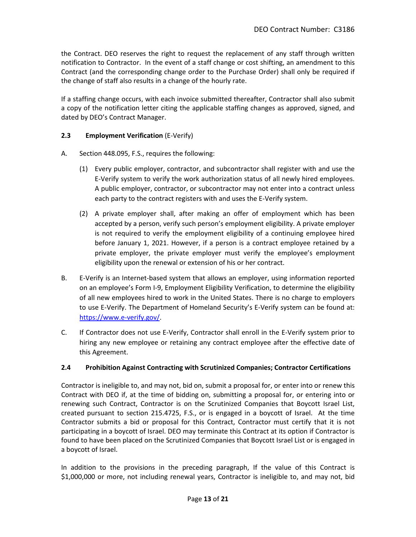the Contract. DEO reserves the right to request the replacement of any staff through written notification to Contractor. In the event of a staff change or cost shifting, an amendment to this Contract (and the corresponding change order to the Purchase Order) shall only be required if the change of staff also results in a change of the hourly rate.

If a staffing change occurs, with each invoice submitted thereafter, Contractor shall also submit a copy of the notification letter citing the applicable staffing changes as approved, signed, and dated by DEO's Contract Manager.

### **2.3 Employment Verification** (E-Verify)

- A. Section 448.095, F.S., requires the following:
	- (1) Every public employer, contractor, and subcontractor shall register with and use the E-Verify system to verify the work authorization status of all newly hired employees. A public employer, contractor, or subcontractor may not enter into a contract unless each party to the contract registers with and uses the E-Verify system.
	- (2) A private employer shall, after making an offer of employment which has been accepted by a person, verify such person's employment eligibility. A private employer is not required to verify the employment eligibility of a continuing employee hired before January 1, 2021. However, if a person is a contract employee retained by a private employer, the private employer must verify the employee's employment eligibility upon the renewal or extension of his or her contract.
- B. E-Verify is an Internet-based system that allows an employer, using information reported on an employee's Form I-9, Employment Eligibility Verification, to determine the eligibility of all new employees hired to work in the United States. There is no charge to employers to use E-Verify. The Department of Homeland Security's E-Verify system can be found at: [https://www.e-verify.gov/.](https://www.e-verify.gov/)
- C. If Contractor does not use E-Verify, Contractor shall enroll in the E-Verify system prior to hiring any new employee or retaining any contract employee after the effective date of this Agreement.

## **2.4 Prohibition Against Contracting with Scrutinized Companies; Contractor Certifications**

Contractor is ineligible to, and may not, bid on, submit a proposal for, or enter into or renew this Contract with DEO if, at the time of bidding on, submitting a proposal for, or entering into or renewing such Contract, Contractor is on the Scrutinized Companies that Boycott Israel List, created pursuant to section 215.4725, F.S., or is engaged in a boycott of Israel. At the time Contractor submits a bid or proposal for this Contract, Contractor must certify that it is not participating in a boycott of Israel. DEO may terminate this Contract at its option if Contractor is found to have been placed on the Scrutinized Companies that Boycott Israel List or is engaged in a boycott of Israel.

In addition to the provisions in the preceding paragraph, If the value of this Contract is \$1,000,000 or more, not including renewal years, Contractor is ineligible to, and may not, bid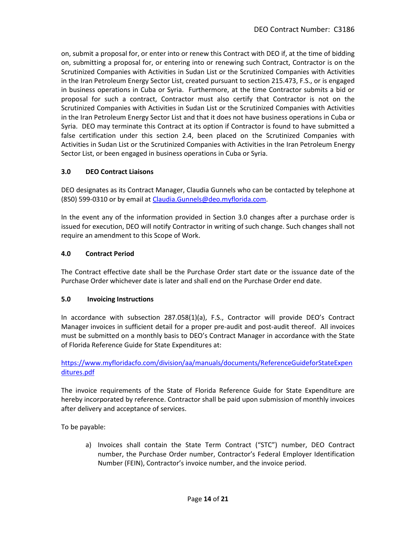on, submit a proposal for, or enter into or renew this Contract with DEO if, at the time of bidding on, submitting a proposal for, or entering into or renewing such Contract, Contractor is on the Scrutinized Companies with Activities in Sudan List or the Scrutinized Companies with Activities in the Iran Petroleum Energy Sector List, created pursuant to section 215.473, F.S., or is engaged in business operations in Cuba or Syria. Furthermore, at the time Contractor submits a bid or proposal for such a contract, Contractor must also certify that Contractor is not on the Scrutinized Companies with Activities in Sudan List or the Scrutinized Companies with Activities in the Iran Petroleum Energy Sector List and that it does not have business operations in Cuba or Syria. DEO may terminate this Contract at its option if Contractor is found to have submitted a false certification under this section 2.4, been placed on the Scrutinized Companies with Activities in Sudan List or the Scrutinized Companies with Activities in the Iran Petroleum Energy Sector List, or been engaged in business operations in Cuba or Syria.

## **3.0 DEO Contract Liaisons**

DEO designates as its Contract Manager, Claudia Gunnels who can be contacted by telephone at (850) 599-0310 or by email at [Claudia.Gunnels@deo.myflorida.com.](mailto:Claudia.Gunnels@deo.myflorida.com)

In the event any of the information provided in Section 3.0 changes after a purchase order is issued for execution, DEO will notify Contractor in writing of such change. Such changes shall not require an amendment to this Scope of Work.

### **4.0 Contract Period**

The Contract effective date shall be the Purchase Order start date or the issuance date of the Purchase Order whichever date is later and shall end on the Purchase Order end date.

#### **5.0 Invoicing Instructions**

In accordance with subsection 287.058(1)(a), F.S., Contractor will provide DEO's Contract Manager invoices in sufficient detail for a proper pre-audit and post-audit thereof. All invoices must be submitted on a monthly basis to DEO's Contract Manager in accordance with the State of Florida Reference Guide for State Expenditures at:

[https://www.myfloridacfo.com/division/aa/manuals/documents/ReferenceGuideforStateExpen](https://www.myfloridacfo.com/division/aa/manuals/documents/ReferenceGuideforStateExpenditures.pdf) [ditures.pdf](https://www.myfloridacfo.com/division/aa/manuals/documents/ReferenceGuideforStateExpenditures.pdf)

The invoice requirements of the State of Florida Reference Guide for State Expenditure are hereby incorporated by reference. Contractor shall be paid upon submission of monthly invoices after delivery and acceptance of services.

To be payable:

a) Invoices shall contain the State Term Contract ("STC") number, DEO Contract number, the Purchase Order number, Contractor's Federal Employer Identification Number (FEIN), Contractor's invoice number, and the invoice period.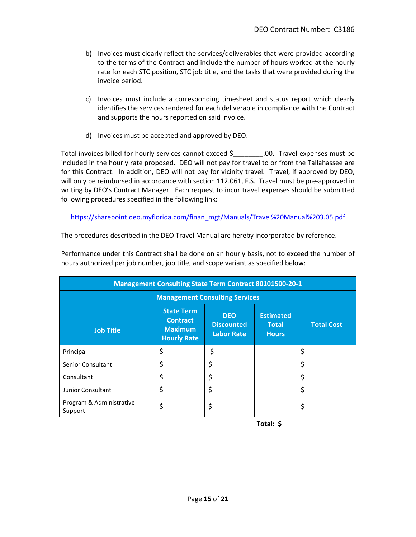- b) Invoices must clearly reflect the services/deliverables that were provided according to the terms of the Contract and include the number of hours worked at the hourly rate for each STC position, STC job title, and the tasks that were provided during the invoice period.
- c) Invoices must include a corresponding timesheet and status report which clearly identifies the services rendered for each deliverable in compliance with the Contract and supports the hours reported on said invoice.
- d) Invoices must be accepted and approved by DEO.

Total invoices billed for hourly services cannot exceed \$\_\_\_\_\_\_\_\_.00. Travel expenses must be included in the hourly rate proposed. DEO will not pay for travel to or from the Tallahassee are for this Contract. In addition, DEO will not pay for vicinity travel. Travel, if approved by DEO, will only be reimbursed in accordance with section 112.061, F.S. Travel must be pre-approved in writing by DEO's Contract Manager. Each request to incur travel expenses should be submitted following procedures specified in the following link:

[https://sharepoint.deo.myflorida.com/finan\\_mgt/Manuals/Travel%20Manual%203.05.pdf](https://sharepoint.deo.myflorida.com/finan_mgt/Manuals/Travel%20Manual%203.05.pdf)

The procedures described in the DEO Travel Manual are hereby incorporated by reference.

| Performance under this Contract shall be done on an hourly basis, not to exceed the number of |
|-----------------------------------------------------------------------------------------------|
| hours authorized per job number, job title, and scope variant as specified below:             |

| <b>Management Consulting State Term Contract 80101500-20-1</b> |                                                                              |                                                      |                                                  |                   |  |
|----------------------------------------------------------------|------------------------------------------------------------------------------|------------------------------------------------------|--------------------------------------------------|-------------------|--|
| <b>Management Consulting Services</b>                          |                                                                              |                                                      |                                                  |                   |  |
| <b>Job Title</b>                                               | <b>State Term</b><br><b>Contract</b><br><b>Maximum</b><br><b>Hourly Rate</b> | <b>DEO</b><br><b>Discounted</b><br><b>Labor Rate</b> | <b>Estimated</b><br><b>Total</b><br><b>Hours</b> | <b>Total Cost</b> |  |
| Principal                                                      | \$                                                                           | \$                                                   |                                                  | \$                |  |
| <b>Senior Consultant</b>                                       | \$                                                                           | \$                                                   |                                                  | \$                |  |
| Consultant                                                     | \$                                                                           | \$                                                   |                                                  |                   |  |
| <b>Junior Consultant</b>                                       | \$                                                                           | \$                                                   |                                                  | \$                |  |
| Program & Administrative<br>Support                            | \$                                                                           | \$                                                   |                                                  |                   |  |

 **Total: \$**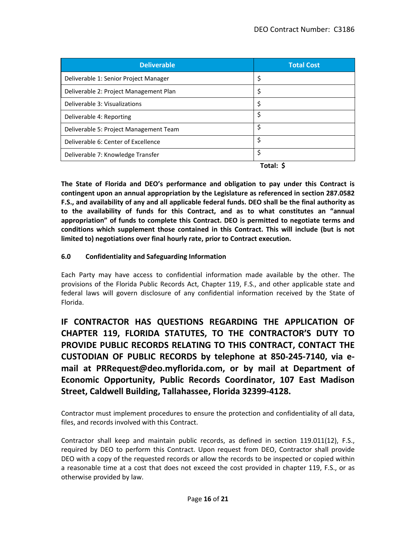| <b>Deliverable</b>                     | <b>Total Cost</b> |
|----------------------------------------|-------------------|
| Deliverable 1: Senior Project Manager  | \$                |
| Deliverable 2: Project Management Plan | \$                |
| Deliverable 3: Visualizations          | \$                |
| Deliverable 4: Reporting               | \$                |
| Deliverable 5: Project Management Team | \$                |
| Deliverable 6: Center of Excellence    | \$                |
| Deliverable 7: Knowledge Transfer      | \$                |
|                                        | Total: S          |

**The State of Florida and DEO's performance and obligation to pay under this Contract is contingent upon an annual appropriation by the Legislature as referenced in section 287.0582 F.S., and availability of any and all applicable federal funds. DEO shall be the final authority as to the availability of funds for this Contract, and as to what constitutes an "annual appropriation" of funds to complete this Contract. DEO is permitted to negotiate terms and conditions which supplement those contained in this Contract. This will include (but is not limited to) negotiations over final hourly rate, prior to Contract execution.**

### **6.0 Confidentiality and Safeguarding Information**

Each Party may have access to confidential information made available by the other. The provisions of the Florida Public Records Act, Chapter 119, F.S., and other applicable state and federal laws will govern disclosure of any confidential information received by the State of Florida.

**IF CONTRACTOR HAS QUESTIONS REGARDING THE APPLICATION OF CHAPTER 119, FLORIDA STATUTES, TO THE CONTRACTOR'S DUTY TO PROVIDE PUBLIC RECORDS RELATING TO THIS CONTRACT, CONTACT THE CUSTODIAN OF PUBLIC RECORDS by telephone at 850-245-7140, via email at PRRequest@deo.myflorida.com, or by mail at Department of Economic Opportunity, Public Records Coordinator, 107 East Madison Street, Caldwell Building, Tallahassee, Florida 32399-4128.**

Contractor must implement procedures to ensure the protection and confidentiality of all data, files, and records involved with this Contract.

Contractor shall keep and maintain public records, as defined in section 119.011(12), F.S., required by DEO to perform this Contract. Upon request from DEO, Contractor shall provide DEO with a copy of the requested records or allow the records to be inspected or copied within a reasonable time at a cost that does not exceed the cost provided in chapter 119, F.S., or as otherwise provided by law.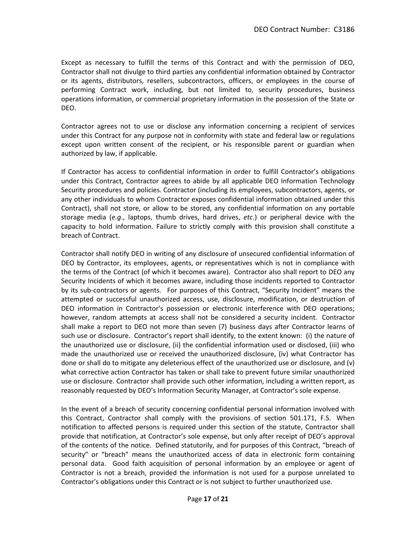Except as necessary to fulfill the terms of this Contract and with the permission of DEO, Contractor shall not divulge to third parties any confidential information obtained by Contractor or its agents, distributors, resellers, subcontractors, officers, or employees in the course of performing Contract work, including, but not limited to, security procedures, business operations information, or commercial proprietary information in the possession of the State or DEO.

Contractor agrees not to use or disclose any information concerning a recipient of services under this Contract for any purpose not in conformity with state and federal law or regulations except upon written consent of the recipient, or his responsible parent or guardian when authorized by law, if applicable.

If Contractor has access to confidential information in order to fulfill Contractor's obligations under this Contract, Contractor agrees to abide by all applicable DEO Information Technology Security procedures and policies. Contractor (including its employees, subcontractors, agents, or any other individuals to whom Contractor exposes confidential information obtained under this Contract), shall not store, or allow to be stored, any confidential information on any portable storage media (*e.g*., laptops, thumb drives, hard drives, *etc*.) or peripheral device with the capacity to hold information. Failure to strictly comply with this provision shall constitute a breach of Contract.

Contractor shall notify DEO in writing of any disclosure of unsecured confidential information of DEO by Contractor, its employees, agents, or representatives which is not in compliance with the terms of the Contract (of which it becomes aware). Contractor also shall report to DEO any Security Incidents of which it becomes aware, including those incidents reported to Contractor by its sub-contractors or agents. For purposes of this Contract, "Security Incident" means the attempted or successful unauthorized access, use, disclosure, modification, or destruction of DEO information in Contractor's possession or electronic interference with DEO operations; however, random attempts at access shall not be considered a security incident. Contractor shall make a report to DEO not more than seven (7) business days after Contractor learns of such use or disclosure. Contractor's report shall identify, to the extent known: (i) the nature of the unauthorized use or disclosure, (ii) the confidential information used or disclosed, (iii) who made the unauthorized use or received the unauthorized disclosure, (iv) what Contractor has done or shall do to mitigate any deleterious effect of the unauthorized use or disclosure, and (v) what corrective action Contractor has taken or shall take to prevent future similar unauthorized use or disclosure. Contractor shall provide such other information, including a written report, as reasonably requested by DEO's Information Security Manager, at Contractor's sole expense.

In the event of a breach of security concerning confidential personal information involved with this Contract, Contractor shall comply with the provisions of section 501.171, F.S. When notification to affected persons is required under this section of the statute, Contractor shall provide that notification, at Contractor's sole expense, but only after receipt of DEO's approval of the contents of the notice. Defined statutorily, and for purposes of this Contract, "breach of security" or "breach" means the unauthorized access of data in electronic form containing personal data. Good faith acquisition of personal information by an employee or agent of Contractor is not a breach, provided the information is not used for a purpose unrelated to Contractor's obligations under this Contract or is not subject to further unauthorized use.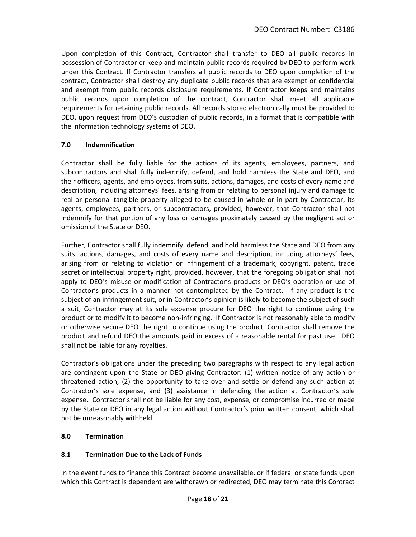Upon completion of this Contract, Contractor shall transfer to DEO all public records in possession of Contractor or keep and maintain public records required by DEO to perform work under this Contract. If Contractor transfers all public records to DEO upon completion of the contract, Contractor shall destroy any duplicate public records that are exempt or confidential and exempt from public records disclosure requirements. If Contractor keeps and maintains public records upon completion of the contract, Contractor shall meet all applicable requirements for retaining public records. All records stored electronically must be provided to DEO, upon request from DEO's custodian of public records, in a format that is compatible with the information technology systems of DEO.

## **7.0 Indemnification**

Contractor shall be fully liable for the actions of its agents, employees, partners, and subcontractors and shall fully indemnify, defend, and hold harmless the State and DEO, and their officers, agents, and employees, from suits, actions, damages, and costs of every name and description, including attorneys' fees, arising from or relating to personal injury and damage to real or personal tangible property alleged to be caused in whole or in part by Contractor, its agents, employees, partners, or subcontractors, provided, however, that Contractor shall not indemnify for that portion of any loss or damages proximately caused by the negligent act or omission of the State or DEO.

Further, Contractor shall fully indemnify, defend, and hold harmless the State and DEO from any suits, actions, damages, and costs of every name and description, including attorneys' fees, arising from or relating to violation or infringement of a trademark, copyright, patent, trade secret or intellectual property right, provided, however, that the foregoing obligation shall not apply to DEO's misuse or modification of Contractor's products or DEO's operation or use of Contractor's products in a manner not contemplated by the Contract. If any product is the subject of an infringement suit, or in Contractor's opinion is likely to become the subject of such a suit, Contractor may at its sole expense procure for DEO the right to continue using the product or to modify it to become non-infringing. If Contractor is not reasonably able to modify or otherwise secure DEO the right to continue using the product, Contractor shall remove the product and refund DEO the amounts paid in excess of a reasonable rental for past use. DEO shall not be liable for any royalties.

Contractor's obligations under the preceding two paragraphs with respect to any legal action are contingent upon the State or DEO giving Contractor: (1) written notice of any action or threatened action, (2) the opportunity to take over and settle or defend any such action at Contractor's sole expense, and (3) assistance in defending the action at Contractor's sole expense. Contractor shall not be liable for any cost, expense, or compromise incurred or made by the State or DEO in any legal action without Contractor's prior written consent, which shall not be unreasonably withheld.

#### **8.0 Termination**

## **8.1 Termination Due to the Lack of Funds**

In the event funds to finance this Contract become unavailable, or if federal or state funds upon which this Contract is dependent are withdrawn or redirected, DEO may terminate this Contract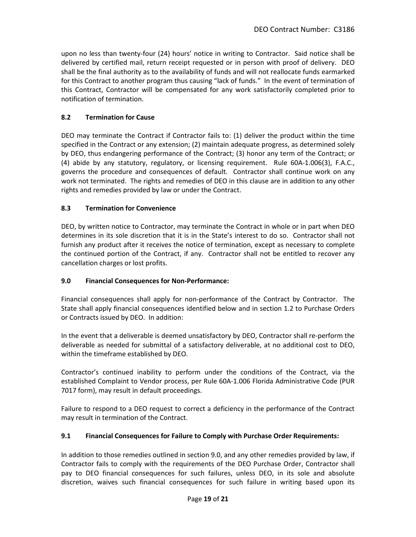upon no less than twenty-four (24) hours' notice in writing to Contractor. Said notice shall be delivered by certified mail, return receipt requested or in person with proof of delivery. DEO shall be the final authority as to the availability of funds and will not reallocate funds earmarked for this Contract to another program thus causing "lack of funds." In the event of termination of this Contract, Contractor will be compensated for any work satisfactorily completed prior to notification of termination.

# **8.2 Termination for Cause**

DEO may terminate the Contract if Contractor fails to: (1) deliver the product within the time specified in the Contract or any extension; (2) maintain adequate progress, as determined solely by DEO, thus endangering performance of the Contract; (3) honor any term of the Contract; or (4) abide by any statutory, regulatory, or licensing requirement. Rule 60A-1.006(3), F.A.C., governs the procedure and consequences of default. Contractor shall continue work on any work not terminated. The rights and remedies of DEO in this clause are in addition to any other rights and remedies provided by law or under the Contract.

## **8.3 Termination for Convenience**

DEO, by written notice to Contractor, may terminate the Contract in whole or in part when DEO determines in its sole discretion that it is in the State's interest to do so. Contractor shall not furnish any product after it receives the notice of termination, except as necessary to complete the continued portion of the Contract, if any. Contractor shall not be entitled to recover any cancellation charges or lost profits.

## **9.0 Financial Consequences for Non-Performance:**

Financial consequences shall apply for non-performance of the Contract by Contractor. The State shall apply financial consequences identified below and in section 1.2 to Purchase Orders or Contracts issued by DEO. In addition:

In the event that a deliverable is deemed unsatisfactory by DEO, Contractor shall re-perform the deliverable as needed for submittal of a satisfactory deliverable, at no additional cost to DEO, within the timeframe established by DEO.

Contractor's continued inability to perform under the conditions of the Contract, via the established Complaint to Vendor process, per Rule 60A-1.006 Florida Administrative Code (PUR 7017 form), may result in default proceedings.

Failure to respond to a DEO request to correct a deficiency in the performance of the Contract may result in termination of the Contract.

## **9.1 Financial Consequences for Failure to Comply with Purchase Order Requirements:**

In addition to those remedies outlined in section 9.0, and any other remedies provided by law, if Contractor fails to comply with the requirements of the DEO Purchase Order, Contractor shall pay to DEO financial consequences for such failures, unless DEO, in its sole and absolute discretion, waives such financial consequences for such failure in writing based upon its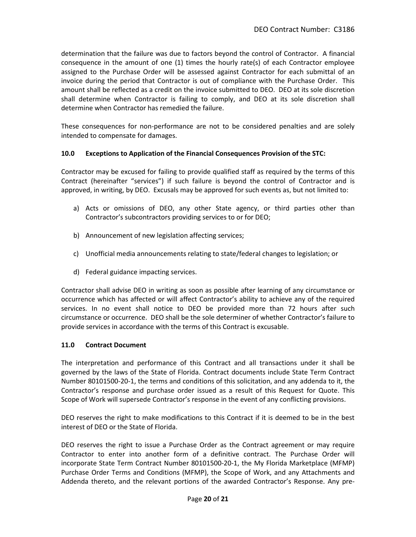determination that the failure was due to factors beyond the control of Contractor. A financial consequence in the amount of one (1) times the hourly rate(s) of each Contractor employee assigned to the Purchase Order will be assessed against Contractor for each submittal of an invoice during the period that Contractor is out of compliance with the Purchase Order. This amount shall be reflected as a credit on the invoice submitted to DEO. DEO at its sole discretion shall determine when Contractor is failing to comply, and DEO at its sole discretion shall determine when Contractor has remedied the failure.

These consequences for non-performance are not to be considered penalties and are solely intended to compensate for damages.

### **10.0 Exceptions to Application of the Financial Consequences Provision of the STC:**

Contractor may be excused for failing to provide qualified staff as required by the terms of this Contract (hereinafter "services") if such failure is beyond the control of Contractor and is approved, in writing, by DEO. Excusals may be approved for such events as, but not limited to:

- a) Acts or omissions of DEO, any other State agency, or third parties other than Contractor's subcontractors providing services to or for DEO;
- b) Announcement of new legislation affecting services;
- c) Unofficial media announcements relating to state/federal changes to legislation; or
- d) Federal guidance impacting services.

Contractor shall advise DEO in writing as soon as possible after learning of any circumstance or occurrence which has affected or will affect Contractor's ability to achieve any of the required services. In no event shall notice to DEO be provided more than 72 hours after such circumstance or occurrence. DEO shall be the sole determiner of whether Contractor's failure to provide services in accordance with the terms of this Contract is excusable.

## **11.0 Contract Document**

The interpretation and performance of this Contract and all transactions under it shall be governed by the laws of the State of Florida. Contract documents include State Term Contract Number 80101500-20-1, the terms and conditions of this solicitation, and any addenda to it, the Contractor's response and purchase order issued as a result of this Request for Quote. This Scope of Work will supersede Contractor's response in the event of any conflicting provisions.

DEO reserves the right to make modifications to this Contract if it is deemed to be in the best interest of DEO or the State of Florida.

DEO reserves the right to issue a Purchase Order as the Contract agreement or may require Contractor to enter into another form of a definitive contract. The Purchase Order will incorporate State Term Contract Number 80101500-20-1, the My Florida Marketplace (MFMP) Purchase Order Terms and Conditions (MFMP), the Scope of Work, and any Attachments and Addenda thereto, and the relevant portions of the awarded Contractor's Response. Any pre